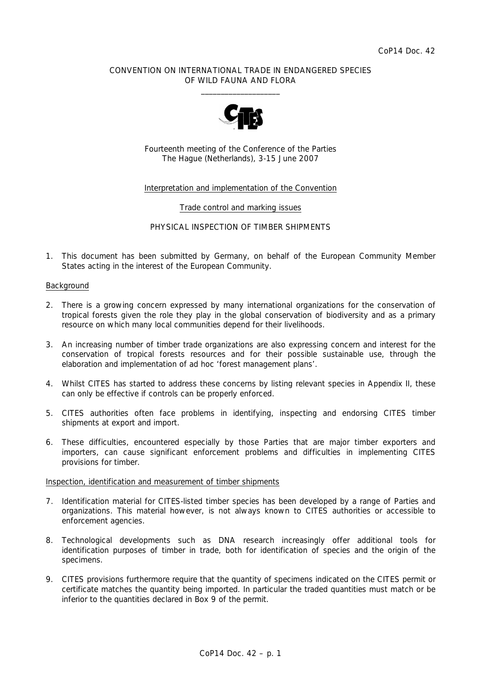# CONVENTION ON INTERNATIONAL TRADE IN ENDANGERED SPECIES OF WILD FAUNA AND FLORA  $\frac{1}{2}$  , and the set of the set of the set of the set of the set of the set of the set of the set of the set of the set of the set of the set of the set of the set of the set of the set of the set of the set of the set



Fourteenth meeting of the Conference of the Parties The Hague (Netherlands), 3-15 June 2007

# Interpretation and implementation of the Convention

#### Trade control and marking issues

# PHYSICAL INSPECTION OF TIMBER SHIPMENTS

1. This document has been submitted by Germany, on behalf of the European Community Member States acting in the interest of the European Community.

#### Background

- 2. There is a growing concern expressed by many international organizations for the conservation of tropical forests given the role they play in the global conservation of biodiversity and as a primary resource on which many local communities depend for their livelihoods.
- 3. An increasing number of timber trade organizations are also expressing concern and interest for the conservation of tropical forests resources and for their possible sustainable use, through the elaboration and implementation of *ad hoc* 'forest management plans'.
- 4. Whilst CITES has started to address these concerns by listing relevant species in Appendix II, these can only be effective if controls can be properly enforced.
- 5. CITES authorities often face problems in identifying, inspecting and endorsing CITES timber shipments at export and import.
- 6. These difficulties, encountered especially by those Parties that are major timber exporters and importers, can cause significant enforcement problems and difficulties in implementing CITES provisions for timber.

### Inspection, identification and measurement of timber shipments

- 7. Identification material for CITES-listed timber species has been developed by a range of Parties and organizations. This material however, is not always known to CITES authorities or accessible to enforcement agencies.
- 8. Technological developments such as DNA research increasingly offer additional tools for identification purposes of timber in trade, both for identification of species and the origin of the specimens.
- 9. CITES provisions furthermore require that the quantity of specimens indicated on the CITES permit or certificate matches the quantity being imported. In particular the traded quantities must match or be inferior to the quantities declared in Box 9 of the permit.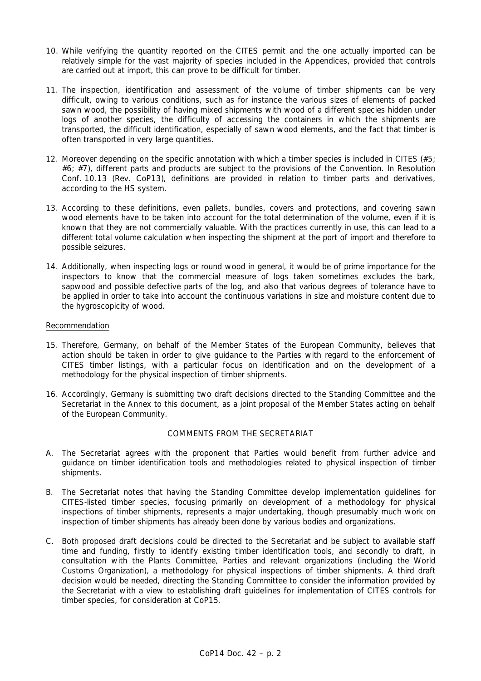- 10. While verifying the quantity reported on the CITES permit and the one actually imported can be relatively simple for the vast majority of species included in the Appendices, provided that controls are carried out at import, this can prove to be difficult for timber.
- 11. The inspection, identification and assessment of the volume of timber shipments can be very difficult, owing to various conditions, such as for instance the various sizes of elements of packed sawn wood, the possibility of having mixed shipments with wood of a different species hidden under logs of another species, the difficulty of accessing the containers in which the shipments are transported, the difficult identification, especially of sawn wood elements, and the fact that timber is often transported in very large quantities.
- 12. Moreover depending on the specific annotation with which a timber species is included in CITES (#5; #6; #7), different parts and products are subject to the provisions of the Convention. In Resolution Conf. 10.13 (Rev. CoP13), definitions are provided in relation to timber parts and derivatives, according to the HS system.
- 13. According to these definitions, even pallets, bundles, covers and protections, and covering sawn wood elements have to be taken into account for the total determination of the volume, even if it is known that they are not commercially valuable. With the practices currently in use, this can lead to a different total volume calculation when inspecting the shipment at the port of import and therefore to possible seizures.
- 14. Additionally, when inspecting logs or round wood in general, it would be of prime importance for the inspectors to know that the commercial measure of logs taken sometimes excludes the bark, sapwood and possible defective parts of the log, and also that various degrees of tolerance have to be applied in order to take into account the continuous variations in size and moisture content due to the hygroscopicity of wood.

# Recommendation

- 15. Therefore, Germany, on behalf of the Member States of the European Community, believes that action should be taken in order to give guidance to the Parties with regard to the enforcement of CITES timber listings, with a particular focus on identification and on the development of a methodology for the physical inspection of timber shipments.
- 16. Accordingly, Germany is submitting two draft decisions directed to the Standing Committee and the Secretariat in the Annex to this document, as a joint proposal of the Member States acting on behalf of the European Community.

#### COMMENTS FROM THE SECRETARIAT

- A. The Secretariat agrees with the proponent that Parties would benefit from further advice and guidance on timber identification tools and methodologies related to physical inspection of timber shipments.
- B. The Secretariat notes that having the Standing Committee develop implementation guidelines for CITES-listed timber species, focusing primarily on development of a methodology for physical inspections of timber shipments, represents a major undertaking, though presumably much work on inspection of timber shipments has already been done by various bodies and organizations.
- C. Both proposed draft decisions could be directed to the Secretariat and be subject to available staff time and funding, firstly to identify existing timber identification tools, and secondly to draft, in consultation with the Plants Committee, Parties and relevant organizations (including the World Customs Organization), a methodology for physical inspections of timber shipments. A third draft decision would be needed, directing the Standing Committee to consider the information provided by the Secretariat with a view to establishing draft guidelines for implementation of CITES controls for timber species, for consideration at CoP15.